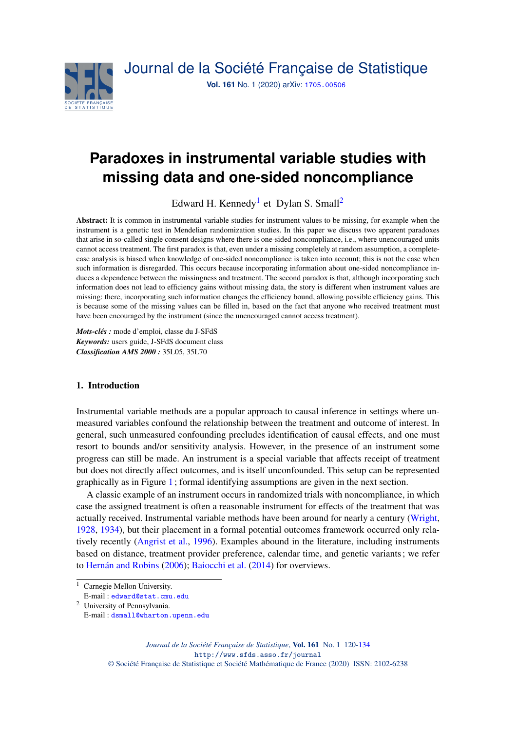

# **Paradoxes in instrumental variable studies with missing data and one-sided noncompliance**

Edward H. Kennedy<sup>[1](#page-0-0)</sup> et Dylan S. Small<sup>[2](#page-0-1)</sup>

Abstract: It is common in instrumental variable studies for instrument values to be missing, for example when the instrument is a genetic test in Mendelian randomization studies. In this paper we discuss two apparent paradoxes that arise in so-called single consent designs where there is one-sided noncompliance, i.e., where unencouraged units cannot access treatment. The first paradox is that, even under a missing completely at random assumption, a completecase analysis is biased when knowledge of one-sided noncompliance is taken into account; this is not the case when such information is disregarded. This occurs because incorporating information about one-sided noncompliance induces a dependence between the missingness and treatment. The second paradox is that, although incorporating such information does not lead to efficiency gains without missing data, the story is different when instrument values are missing: there, incorporating such information changes the efficiency bound, allowing possible efficiency gains. This is because some of the missing values can be filled in, based on the fact that anyone who received treatment must have been encouraged by the instrument (since the unencouraged cannot access treatment).

*Mots-clés :* mode d'emploi, classe du J-SFdS *Keywords:* users guide, J-SFdS document class *Classification AMS 2000 :* 35L05, 35L70

# 1. Introduction

Instrumental variable methods are a popular approach to causal inference in settings where unmeasured variables confound the relationship between the treatment and outcome of interest. In general, such unmeasured confounding precludes identification of causal effects, and one must resort to bounds and/or sensitivity analysis. However, in the presence of an instrument some progress can still be made. An instrument is a special variable that affects receipt of treatment but does not directly affect outcomes, and is itself unconfounded. This setup can be represented graphically as in Figure [1](#page-1-0); formal identifying assumptions are given in the next section.

A classic example of an instrument occurs in randomized trials with noncompliance, in which case the assigned treatment is often a reasonable instrument for effects of the treatment that was actually received. Instrumental variable methods have been around for nearly a century [\(Wright,](#page-13-0) [1928,](#page-13-0) [1934\)](#page-13-1), but their placement in a formal potential outcomes framework occurred only relatively recently [\(Angrist et al.,](#page-12-0) [1996\)](#page-12-0). Examples abound in the literature, including instruments based on distance, treatment provider preference, calendar time, and genetic variants; we refer to [Hernán and Robins](#page-12-1) [\(2006\)](#page-12-1); [Baiocchi et al.](#page-12-2) [\(2014\)](#page-12-2) for overviews.

<span id="page-0-1"></span><sup>2</sup> University of Pennsylvania.

*Journal de la Société Française de Statistique*, Vol. 161 No. 1 120[-134](#page-14-0) http://www.sfds.asso.fr/journal

© Société Française de Statistique et Société Mathématique de France (2020) ISSN: 2102-6238

<span id="page-0-0"></span><sup>&</sup>lt;sup>1</sup> Carnegie Mellon University.

E-mail : [edward@stat.cmu.edu](mailto:edward@stat.cmu.edu)

E-mail : [dsmall@wharton.upenn.edu](mailto:dsmall@wharton.upenn.edu)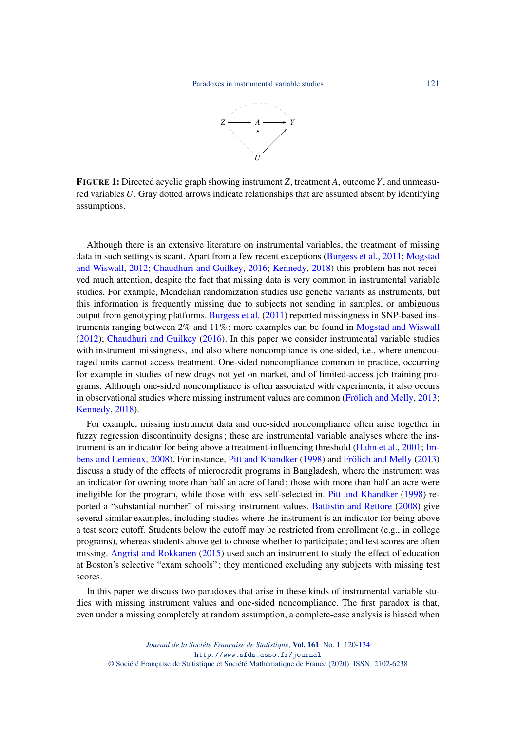

<span id="page-1-0"></span>FIGURE 1: Directed acyclic graph showing instrument *Z*, treatment *A*, outcome *Y*, and unmeasured variables *U*. Gray dotted arrows indicate relationships that are assumed absent by identifying assumptions.

Although there is an extensive literature on instrumental variables, the treatment of missing data in such settings is scant. Apart from a few recent exceptions [\(Burgess et al.,](#page-12-3) [2011;](#page-12-3) [Mogstad](#page-12-4) [and Wiswall,](#page-12-4) [2012;](#page-12-4) [Chaudhuri and Guilkey,](#page-12-5) [2016;](#page-12-5) [Kennedy,](#page-12-6) [2018\)](#page-12-6) this problem has not received much attention, despite the fact that missing data is very common in instrumental variable studies. For example, Mendelian randomization studies use genetic variants as instruments, but this information is frequently missing due to subjects not sending in samples, or ambiguous output from genotyping platforms. [Burgess et al.](#page-12-3) [\(2011\)](#page-12-3) reported missingness in SNP-based instruments ranging between 2% and 11%; more examples can be found in [Mogstad and Wiswall](#page-12-4) [\(2012\)](#page-12-4); [Chaudhuri and Guilkey](#page-12-5) [\(2016\)](#page-12-5). In this paper we consider instrumental variable studies with instrument missingness, and also where noncompliance is one-sided, i.e., where unencouraged units cannot access treatment. One-sided noncompliance common in practice, occurring for example in studies of new drugs not yet on market, and of limited-access job training programs. Although one-sided noncompliance is often associated with experiments, it also occurs in observational studies where missing instrument values are common [\(Frölich and Melly,](#page-12-7) [2013;](#page-12-7) [Kennedy,](#page-12-6) [2018\)](#page-12-6).

For example, missing instrument data and one-sided noncompliance often arise together in fuzzy regression discontinuity designs; these are instrumental variable analyses where the instrument is an indicator for being above a treatment-influencing threshold [\(Hahn et al.,](#page-12-8) [2001;](#page-12-8) [Im](#page-12-9)[bens and Lemieux,](#page-12-9) [2008\)](#page-12-9). For instance, [Pitt and Khandker](#page-12-10) [\(1998\)](#page-12-10) and [Frölich and Melly](#page-12-7) [\(2013\)](#page-12-7) discuss a study of the effects of microcredit programs in Bangladesh, where the instrument was an indicator for owning more than half an acre of land; those with more than half an acre were ineligible for the program, while those with less self-selected in. [Pitt and Khandker](#page-12-10) [\(1998\)](#page-12-10) reported a "substantial number" of missing instrument values. [Battistin and Rettore](#page-12-11) [\(2008\)](#page-12-11) give several similar examples, including studies where the instrument is an indicator for being above a test score cutoff. Students below the cutoff may be restricted from enrollment (e.g., in college programs), whereas students above get to choose whether to participate; and test scores are often missing. [Angrist and Rokkanen](#page-12-12) [\(2015\)](#page-12-12) used such an instrument to study the effect of education at Boston's selective "exam schools"; they mentioned excluding any subjects with missing test scores.

In this paper we discuss two paradoxes that arise in these kinds of instrumental variable studies with missing instrument values and one-sided noncompliance. The first paradox is that, even under a missing completely at random assumption, a complete-case analysis is biased when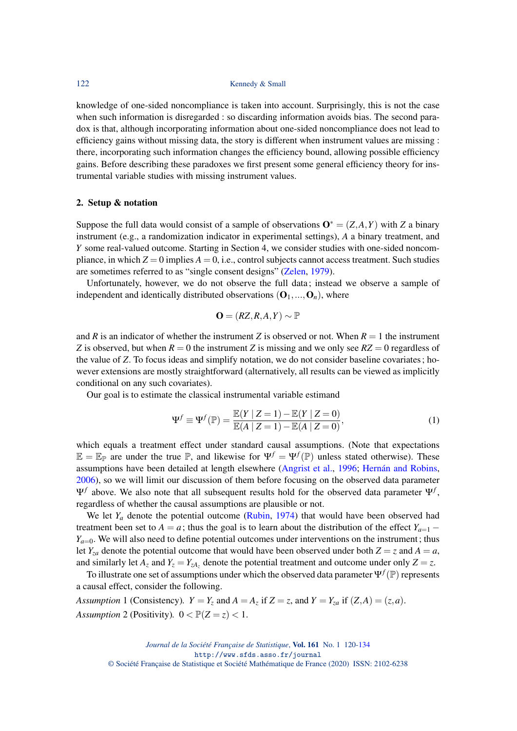knowledge of one-sided noncompliance is taken into account. Surprisingly, this is not the case when such information is disregarded : so discarding information avoids bias. The second paradox is that, although incorporating information about one-sided noncompliance does not lead to efficiency gains without missing data, the story is different when instrument values are missing : there, incorporating such information changes the efficiency bound, allowing possible efficiency gains. Before describing these paradoxes we first present some general efficiency theory for instrumental variable studies with missing instrument values.

#### 2. Setup & notation

Suppose the full data would consist of a sample of observations  $O^* = (Z, A, Y)$  with *Z* a binary instrument (e.g., a randomization indicator in experimental settings), *A* a binary treatment, and *Y* some real-valued outcome. Starting in Section 4, we consider studies with one-sided noncompliance, in which  $Z = 0$  implies  $A = 0$ , i.e., control subjects cannot access treatment. Such studies are sometimes referred to as "single consent designs" [\(Zelen,](#page-13-2) [1979\)](#page-13-2).

Unfortunately, however, we do not observe the full data; instead we observe a sample of independent and identically distributed observations  $(O_1, ..., O_n)$ , where

$$
\mathbf{O} = (RZ, R, A, Y) \sim \mathbb{P}
$$

and *R* is an indicator of whether the instrument *Z* is observed or not. When  $R = 1$  the instrument *Z* is observed, but when  $R = 0$  the instrument *Z* is missing and we only see  $RZ = 0$  regardless of the value of *Z*. To focus ideas and simplify notation, we do not consider baseline covariates; however extensions are mostly straightforward (alternatively, all results can be viewed as implicitly conditional on any such covariates).

Our goal is to estimate the classical instrumental variable estimand

<span id="page-2-0"></span>
$$
\Psi^f \equiv \Psi^f(\mathbb{P}) = \frac{\mathbb{E}(Y \mid Z = 1) - \mathbb{E}(Y \mid Z = 0)}{\mathbb{E}(A \mid Z = 1) - \mathbb{E}(A \mid Z = 0)},
$$
\n(1)

which equals a treatment effect under standard causal assumptions. (Note that expectations  $\mathbb{E} = \mathbb{E}_{\mathbb{P}}$  are under the true  $\mathbb{P}$ , and likewise for  $\Psi^f = \Psi^f(\mathbb{P})$  unless stated otherwise). These assumptions have been detailed at length elsewhere [\(Angrist et al.,](#page-12-0) [1996;](#page-12-0) [Hernán and Robins,](#page-12-1) [2006\)](#page-12-1), so we will limit our discussion of them before focusing on the observed data parameter Ψ*f* above. We also note that all subsequent results hold for the observed data parameter Ψ*<sup>f</sup>* , regardless of whether the causal assumptions are plausible or not.

We let  $Y_a$  denote the potential outcome [\(Rubin,](#page-12-13) [1974\)](#page-12-13) that would have been observed had treatment been set to *A* = *a*; thus the goal is to learn about the distribution of the effect  $Y_{a=1}$  −  $Y_{a=0}$ . We will also need to define potential outcomes under interventions on the instrument; thus let *Y*<sub>za</sub> denote the potential outcome that would have been observed under both  $Z = z$  and  $A = a$ , and similarly let  $A_z$  and  $Y_z = Y_{zA_z}$  denote the potential treatment and outcome under only  $Z = z$ .

To illustrate one set of assumptions under which the observed data parameter  $\Psi^f(\mathbb{P})$  represents a causal effect, consider the following.

*Assumption* 1 (Consistency).  $Y = Y_z$  and  $A = A_z$  if  $Z = z$ , and  $Y = Y_{za}$  if  $(Z, A) = (z, a)$ . *Assumption* 2 (Positivity).  $0 < \mathbb{P}(Z = z) < 1$ .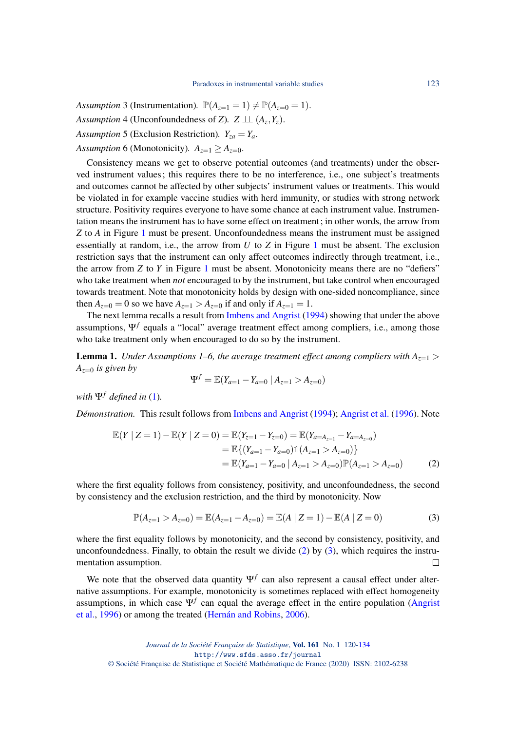*Assumption* 3 (Instrumentation).  $\mathbb{P}(A_{z=1} = 1) \neq \mathbb{P}(A_{z=0} = 1)$ . *Assumption* 4 (Unconfoundedness of *Z*).  $Z \perp\!\!\!\perp (A_z, Y_z)$ . *Assumption* 5 (Exclusion Restriction).  $Y_{za} = Y_a$ .

*Assumption* 6 (Monotonicity).  $A_{z=1} \geq A_{z=0}$ .

Consistency means we get to observe potential outcomes (and treatments) under the observed instrument values; this requires there to be no interference, i.e., one subject's treatments and outcomes cannot be affected by other subjects' instrument values or treatments. This would be violated in for example vaccine studies with herd immunity, or studies with strong network structure. Positivity requires everyone to have some chance at each instrument value. Instrumentation means the instrument has to have some effect on treatment; in other words, the arrow from *Z* to *A* in Figure [1](#page-1-0) must be present. Unconfoundedness means the instrument must be assigned essentially at random, i.e., the arrow from *U* to *Z* in Figure [1](#page-1-0) must be absent. The exclusion restriction says that the instrument can only affect outcomes indirectly through treatment, i.e., the arrow from *Z* to *Y* in Figure [1](#page-1-0) must be absent. Monotonicity means there are no "defiers" who take treatment when *not* encouraged to by the instrument, but take control when encouraged towards treatment. Note that monotonicity holds by design with one-sided noncompliance, since then  $A_{z=0} = 0$  so we have  $A_{z=1} > A_{z=0}$  if and only if  $A_{z=1} = 1$ .

The next lemma recalls a result from [Imbens and Angrist](#page-12-14) [\(1994\)](#page-12-14) showing that under the above assumptions, Ψ*<sup>f</sup>* equals a "local" average treatment effect among compliers, i.e., among those who take treatment only when encouraged to do so by the instrument.

**Lemma 1.** *Under Assumptions 1–6, the average treatment effect among compliers with*  $A_{z=1}$  > *Az*=<sup>0</sup> *is given by*

<span id="page-3-1"></span><span id="page-3-0"></span>
$$
\Psi^f = \mathbb{E}(Y_{a=1} - Y_{a=0} | A_{z=1} > A_{z=0})
$$

*with*  $\Psi$ <sup>*f*</sup> *defined in* [\(1\)](#page-2-0)*.* 

*Démonstration.* This result follows from [Imbens and Angrist](#page-12-14) [\(1994\)](#page-12-14); [Angrist et al.](#page-12-0) [\(1996\)](#page-12-0). Note

$$
\mathbb{E}(Y \mid Z = 1) - \mathbb{E}(Y \mid Z = 0) = \mathbb{E}(Y_{z=1} - Y_{z=0}) = \mathbb{E}(Y_{a=A_{z=1}} - Y_{a=A_{z=0}})
$$
  
\n
$$
= \mathbb{E}\{(Y_{a=1} - Y_{a=0})\mathbb{1}(A_{z=1} > A_{z=0})\}
$$
  
\n
$$
= \mathbb{E}(Y_{a=1} - Y_{a=0} \mid A_{z=1} > A_{z=0})\mathbb{P}(A_{z=1} > A_{z=0})
$$
 (2)

where the first equality follows from consistency, positivity, and unconfoundedness, the second by consistency and the exclusion restriction, and the third by monotonicity. Now

$$
\mathbb{P}(A_{z=1} > A_{z=0}) = \mathbb{E}(A_{z=1} - A_{z=0}) = \mathbb{E}(A \mid Z=1) - \mathbb{E}(A \mid Z=0)
$$
\n(3)

where the first equality follows by monotonicity, and the second by consistency, positivity, and unconfoundedness. Finally, to obtain the result we divide  $(2)$  by  $(3)$ , which requires the instrumentation assumption.  $\Box$ 

We note that the observed data quantity  $\Psi^f$  can also represent a causal effect under alternative assumptions. For example, monotonicity is sometimes replaced with effect homogeneity assumptions, in which case  $\Psi$ <sup>f</sup> can equal the average effect in the entire population [\(Angrist](#page-12-0) [et al.,](#page-12-0) [1996\)](#page-12-0) or among the treated [\(Hernán and Robins,](#page-12-1) [2006\)](#page-12-1).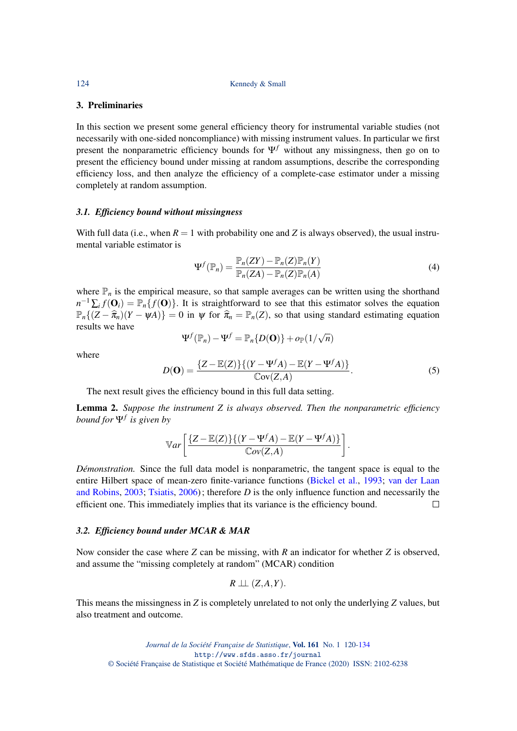#### 3. Preliminaries

In this section we present some general efficiency theory for instrumental variable studies (not necessarily with one-sided noncompliance) with missing instrument values. In particular we first present the nonparametric efficiency bounds for  $\Psi^f$  without any missingness, then go on to present the efficiency bound under missing at random assumptions, describe the corresponding efficiency loss, and then analyze the efficiency of a complete-case estimator under a missing completely at random assumption.

#### *3.1. Efficiency bound without missingness*

With full data (i.e., when  $R = 1$  with probability one and *Z* is always observed), the usual instrumental variable estimator is

<span id="page-4-1"></span>
$$
\Psi^f(\mathbb{P}_n) = \frac{\mathbb{P}_n(ZY) - \mathbb{P}_n(Z)\mathbb{P}_n(Y)}{\mathbb{P}_n(ZA) - \mathbb{P}_n(Z)\mathbb{P}_n(A)}\tag{4}
$$

where  $\mathbb{P}_n$  is the empirical measure, so that sample averages can be written using the shorthand  $n^{-1} \sum_i f(\mathbf{O}_i) = \mathbb{P}_n \{f(\mathbf{O})\}$ . It is straightforward to see that this estimator solves the equation  $\mathbb{P}_n\{(Z-\hat{\pi}_n)(Y-\psi A)\}=0$  in  $\psi$  for  $\hat{\pi}_n = \mathbb{P}_n(Z)$ , so that using standard estimating equation results we have √

<span id="page-4-0"></span>
$$
\Psi^f(\mathbb{P}_n) - \Psi^f = \mathbb{P}_n\{D(\mathbf{O})\} + o_{\mathbb{P}}(1/\sqrt{n})
$$
  

$$
D(\mathbf{O}) = \frac{\{Z - \mathbb{E}(Z)\}\{(Y - \Psi^f A) - \mathbb{E}(Y - \Psi^f A)\}}{\mathbb{C}\text{ov}(Z, A)}.
$$
 (5)

The next result gives the efficiency bound in this full data setting.

Lemma 2. *Suppose the instrument Z is always observed. Then the nonparametric efficiency bound for* Ψ*<sup>f</sup> is given by*

$$
\mathbb{V}ar\left[\frac{\{Z-\mathbb{E}(Z)\}\{(Y-\Psi^f A)-\mathbb{E}(Y-\Psi^f A)\}}{\mathbb{C}ov(Z,A)}\right].
$$

*Démonstration.* Since the full data model is nonparametric, the tangent space is equal to the entire Hilbert space of mean-zero finite-variance functions [\(Bickel et al.,](#page-12-15) [1993;](#page-12-15) [van der Laan](#page-12-16) [and Robins,](#page-12-16) [2003;](#page-12-16) [Tsiatis,](#page-12-17) [2006\)](#page-12-17); therefore *D* is the only influence function and necessarily the efficient one. This immediately implies that its variance is the efficiency bound.  $\Box$ 

## *3.2. Efficiency bound under MCAR & MAR*

Now consider the case where *Z* can be missing, with *R* an indicator for whether *Z* is observed, and assume the "missing completely at random" (MCAR) condition

$$
R \perp\!\!\!\perp (Z,A,Y).
$$

This means the missingness in *Z* is completely unrelated to not only the underlying *Z* values, but also treatment and outcome.

where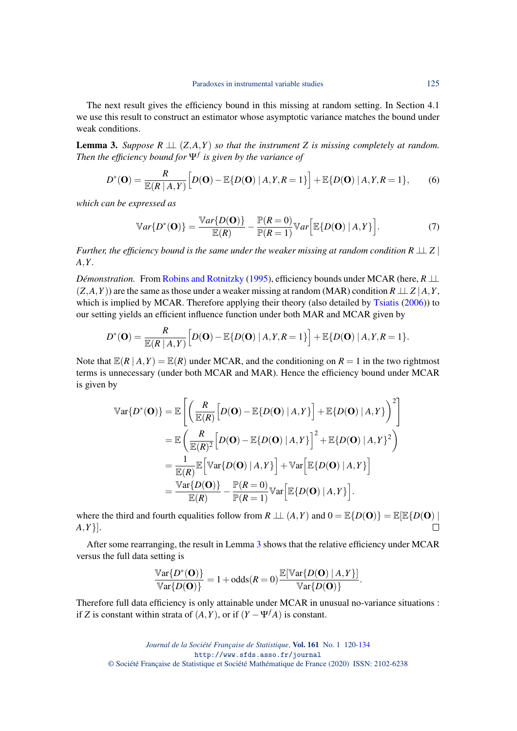The next result gives the efficiency bound in this missing at random setting. In Section 4.1 we use this result to construct an estimator whose asymptotic variance matches the bound under weak conditions.

<span id="page-5-0"></span>**Lemma 3.** *Suppose*  $R \perp \perp (Z, A, Y)$  *so that the instrument* Z *is missing completely at random. Then the efficiency bound for* Ψ*<sup>f</sup> is given by the variance of*

<span id="page-5-2"></span>
$$
D^*(\mathbf{O}) = \frac{R}{\mathbb{E}(R \mid A, Y)} \Big[ D(\mathbf{O}) - \mathbb{E}\{D(\mathbf{O}) \mid A, Y, R = 1\} \Big] + \mathbb{E}\{D(\mathbf{O}) \mid A, Y, R = 1\},\tag{6}
$$

*which can be expressed as*

<span id="page-5-1"></span>
$$
\mathbb{V}ar\{D^*(\mathbf{O})\} = \frac{\mathbb{V}ar\{D(\mathbf{O})\}}{\mathbb{E}(R)} - \frac{\mathbb{P}(R=0)}{\mathbb{P}(R=1)} \mathbb{V}ar\bigg[\mathbb{E}\{D(\mathbf{O}) \mid A, Y\}\bigg].\tag{7}
$$

*Further, the efficiency bound is the same under the weaker missing at random condition R*  $\perp$  *Z* | *A*,*Y .*

*Démonstration.* From [Robins and Rotnitzky](#page-12-18) [\(1995\)](#page-12-18), efficiency bounds under MCAR (here, *R* ⊥⊥  $(Z, A, Y)$ ) are the same as those under a weaker missing at random (MAR) condition  $R \perp Z | A, Y$ , which is implied by MCAR. Therefore applying their theory (also detailed by [Tsiatis](#page-12-17) [\(2006\)](#page-12-17)) to our setting yields an efficient influence function under both MAR and MCAR given by

$$
D^*(\mathbf{O}) = \frac{R}{\mathbb{E}(R | A, Y)} \Big[ D(\mathbf{O}) - \mathbb{E}\{D(\mathbf{O}) | A, Y, R = 1\} \Big] + \mathbb{E}\{D(\mathbf{O}) | A, Y, R = 1\}.
$$

Note that  $\mathbb{E}(R | A, Y) = \mathbb{E}(R)$  under MCAR, and the conditioning on  $R = 1$  in the two rightmost terms is unnecessary (under both MCAR and MAR). Hence the efficiency bound under MCAR is given by

$$
\begin{split} \mathbb{V}\text{ar}\{D^*(\mathbf{O})\} &= \mathbb{E}\left[\left(\frac{R}{\mathbb{E}(R)}\left[D(\mathbf{O}) - \mathbb{E}\{D(\mathbf{O}) \mid A, Y\}\right] + \mathbb{E}\{D(\mathbf{O}) \mid A, Y\}\right)^2\right] \\ &= \mathbb{E}\left(\frac{R}{\mathbb{E}(R)^2}\left[D(\mathbf{O}) - \mathbb{E}\{D(\mathbf{O}) \mid A, Y\}\right]^2 + \mathbb{E}\{D(\mathbf{O}) \mid A, Y\}^2\right) \\ &= \frac{1}{\mathbb{E}(R)}\mathbb{E}\left[\mathbb{V}\text{ar}\{D(\mathbf{O}) \mid A, Y\}\right] + \mathbb{V}\text{ar}\left[\mathbb{E}\{D(\mathbf{O}) \mid A, Y\}\right] \\ &= \frac{\mathbb{V}\text{ar}\{D(\mathbf{O})\}}{\mathbb{E}(R)} - \frac{\mathbb{P}(R = 0)}{\mathbb{P}(R = 1)}\mathbb{V}\text{ar}\left[\mathbb{E}\{D(\mathbf{O}) \mid A, Y\}\right]. \end{split}
$$

where the third and fourth equalities follow from  $R \perp \perp (A, Y)$  and  $0 = \mathbb{E}{D(\mathbf{O})} = \mathbb{E}{E}{D(\mathbf{O})}$ *A*,*Y*}].  $\Box$ 

After some rearranging, the result in Lemma [3](#page-5-0) shows that the relative efficiency under MCAR versus the full data setting is

$$
\frac{\mathbb{V}\text{ar}\{D^*(\mathbf{O})\}}{\mathbb{V}\text{ar}\{D(\mathbf{O})\}} = 1 + \text{odds}(R = 0) \frac{\mathbb{E}[\mathbb{V}\text{ar}\{D(\mathbf{O}) | A, Y\}]}{\mathbb{V}\text{ar}\{D(\mathbf{O})\}}.
$$

Therefore full data efficiency is only attainable under MCAR in unusual no-variance situations : if *Z* is constant within strata of  $(A, Y)$ , or if  $(Y - \Psi^f A)$  is constant.

*Journal de la Société Française de Statistique*, Vol. 161 No. 1 120[-134](#page-14-0) http://www.sfds.asso.fr/journal © Société Française de Statistique et Société Mathématique de France (2020) ISSN: 2102-6238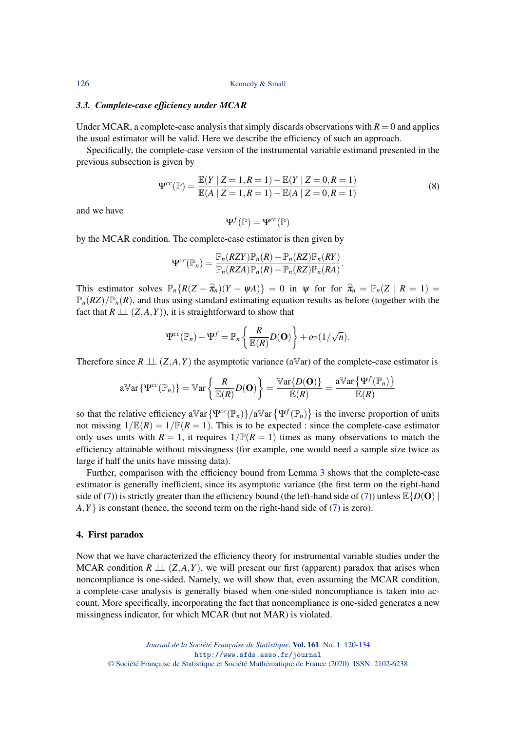#### *3.3. Complete-case efficiency under MCAR*

Under MCAR, a complete-case analysis that simply discards observations with  $R = 0$  and applies the usual estimator will be valid. Here we describe the efficiency of such an approach.

Specifically, the complete-case version of the instrumental variable estimand presented in the previous subsection is given by

<span id="page-6-0"></span>
$$
\Psi^{cc}(\mathbb{P}) = \frac{\mathbb{E}(Y \mid Z = 1, R = 1) - \mathbb{E}(Y \mid Z = 0, R = 1)}{\mathbb{E}(A \mid Z = 1, R = 1) - \mathbb{E}(A \mid Z = 0, R = 1)}
$$
(8)

.

and we have

$$
\Psi^f(\mathbb{P})=\Psi^{cc}(\mathbb{P})
$$

by the MCAR condition. The complete-case estimator is then given by

$$
\Psi^{cc}(\mathbb{P}_n) = \frac{\mathbb{P}_n(RZY)\mathbb{P}_n(R) - \mathbb{P}_n(RZ)\mathbb{P}_n(RY)}{\mathbb{P}_n(RZA)\mathbb{P}_n(R) - \mathbb{P}_n(RZ)\mathbb{P}_n(RA)}
$$

This estimator solves  $\mathbb{P}_n\{R(Z-\hat{\pi}_n)(Y-\psi A)\}=0$  in  $\psi$  for for  $\hat{\pi}_n = \mathbb{P}_n(Z \mid R=1)$  $\mathbb{P}_n(RZ)/\mathbb{P}_n(R)$ , and thus using standard estimating equation results as before (together with the fact that  $R \perp\!\!\!\perp (Z, A, Y)$ , it is straightforward to show that

$$
\Psi^{cc}(\mathbb{P}_n)-\Psi^f=\mathbb{P}_n\left\{\frac{R}{\mathbb{E}(R)}D(\mathbf{O})\right\}+o_{\mathbb{P}}(1/\sqrt{n}).
$$

Therefore since  $R \perp \!\!\! \perp (Z, A, Y)$  the asymptotic variance (aVar) of the complete-case estimator is

$$
\mathrm{aVar}\left\{\Psi^{cc}(\mathbb{P}_n)\right\} = \mathrm{Var}\left\{\frac{R}{\mathbb{E}(R)}D(\mathbf{O})\right\} = \frac{\mathrm{Var}\{D(\mathbf{O})\}}{\mathbb{E}(R)} = \frac{\mathrm{aVar}\left\{\Psi^f(\mathbb{P}_n)\right\}}{\mathbb{E}(R)}
$$

so that the relative efficiency  $a \mathbb{V}ar \{ \Psi^{cc}(\mathbb{P}_n) \} / a \mathbb{V}ar \{ \Psi^{f}(\mathbb{P}_n) \}$  is the inverse proportion of units not missing  $1/\mathbb{E}(R) = 1/\mathbb{P}(R = 1)$ . This is to be expected : since the complete-case estimator only uses units with  $R = 1$ , it requires  $1/\mathbb{P}(R = 1)$  times as many observations to match the efficiency attainable without missingness (for example, one would need a sample size twice as large if half the units have missing data).

Further, comparison with the efficiency bound from Lemma [3](#page-5-0) shows that the complete-case estimator is generally inefficient, since its asymptotic variance (the first term on the right-hand side of [\(7\)](#page-5-1)) is strictly greater than the efficiency bound (the left-hand side of (7)) unless  $\mathbb{E}{D(\mathbf{O})}$  $A, Y$  is constant (hence, the second term on the right-hand side of  $(7)$  is zero).

#### 4. First paradox

Now that we have characterized the efficiency theory for instrumental variable studies under the MCAR condition  $R \perp\!\!\!\perp (Z, A, Y)$ , we will present our first (apparent) paradox that arises when noncompliance is one-sided. Namely, we will show that, even assuming the MCAR condition, a complete-case analysis is generally biased when one-sided noncompliance is taken into account. More specifically, incorporating the fact that noncompliance is one-sided generates a new missingness indicator, for which MCAR (but not MAR) is violated.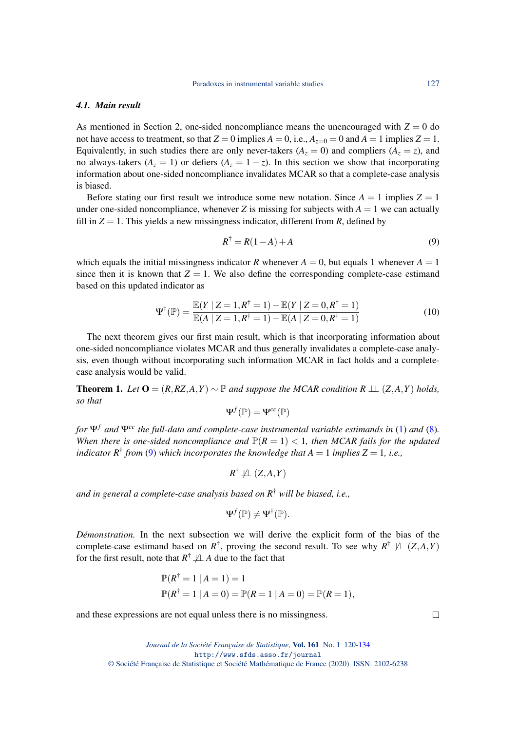#### *4.1. Main result*

As mentioned in Section 2, one-sided noncompliance means the unencouraged with  $Z = 0$  do not have access to treatment, so that  $Z = 0$  implies  $A = 0$ , i.e.,  $A_{z=0} = 0$  and  $A = 1$  implies  $Z = 1$ . Equivalently, in such studies there are only never-takers ( $A_z = 0$ ) and compliers ( $A_z = z$ ), and no always-takers ( $A_z = 1$ ) or defiers ( $A_z = 1 - z$ ). In this section we show that incorporating information about one-sided noncompliance invalidates MCAR so that a complete-case analysis is biased.

Before stating our first result we introduce some new notation. Since  $A = 1$  implies  $Z = 1$ under one-sided noncompliance, whenever *Z* is missing for subjects with  $A = 1$  we can actually fill in  $Z = 1$ . This yields a new missingness indicator, different from *R*, defined by

<span id="page-7-0"></span>
$$
R^{\dagger} = R(1 - A) + A \tag{9}
$$

which equals the initial missingness indicator *R* whenever  $A = 0$ , but equals 1 whenever  $A = 1$ since then it is known that  $Z = 1$ . We also define the corresponding complete-case estimand based on this updated indicator as

<span id="page-7-1"></span>
$$
\Psi^{\dagger}(\mathbb{P}) = \frac{\mathbb{E}(Y \mid Z = 1, R^{\dagger} = 1) - \mathbb{E}(Y \mid Z = 0, R^{\dagger} = 1)}{\mathbb{E}(A \mid Z = 1, R^{\dagger} = 1) - \mathbb{E}(A \mid Z = 0, R^{\dagger} = 1)}
$$
(10)

The next theorem gives our first main result, which is that incorporating information about one-sided noncompliance violates MCAR and thus generally invalidates a complete-case analysis, even though without incorporating such information MCAR in fact holds and a completecase analysis would be valid.

**Theorem 1.** *Let*  $\mathbf{O} = (R, RZ, A, Y) \sim \mathbb{P}$  *and suppose the MCAR condition*  $R \perp L$  (*Z*,*A*,*Y*) *holds*, *so that*

$$
\Psi^f(\mathbb{P})=\Psi^{cc}(\mathbb{P})
$$

*for*  $\Psi$ <sup>*f*</sup> and  $\Psi$ <sup>cc</sup> *the full-data and complete-case instrumental variable estimands in* [\(1\)](#page-2-0) *and* [\(8\)](#page-6-0)*. When there is one-sided noncompliance and*  $P(R = 1) < 1$ *, then MCAR fails for the updated indicator*  $R^{\dagger}$  *from* [\(9\)](#page-7-0) *which incorporates the knowledge that*  $A = 1$  *implies*  $Z = 1$ *, i.e.,* 

$$
R^{\dagger} \not\perp \!\!\! \perp (Z, A, Y)
$$

*and in general a complete-case analysis based on R*† *will be biased, i.e.,*

$$
\Psi^f(\mathbb{P}) \neq \Psi^{\dagger}(\mathbb{P}).
$$

*Démonstration.* In the next subsection we will derive the explicit form of the bias of the complete-case estimand based on  $R^{\dagger}$ , proving the second result. To see why  $R^{\dagger} \not\perp (Z, A, Y)$ for the first result, note that  $R^{\dagger} \not\perp A$  due to the fact that

$$
\mathbb{P}(R^{\dagger} = 1 | A = 1) = 1
$$
  

$$
\mathbb{P}(R^{\dagger} = 1 | A = 0) = \mathbb{P}(R = 1 | A = 0) = \mathbb{P}(R = 1),
$$

and these expressions are not equal unless there is no missingness.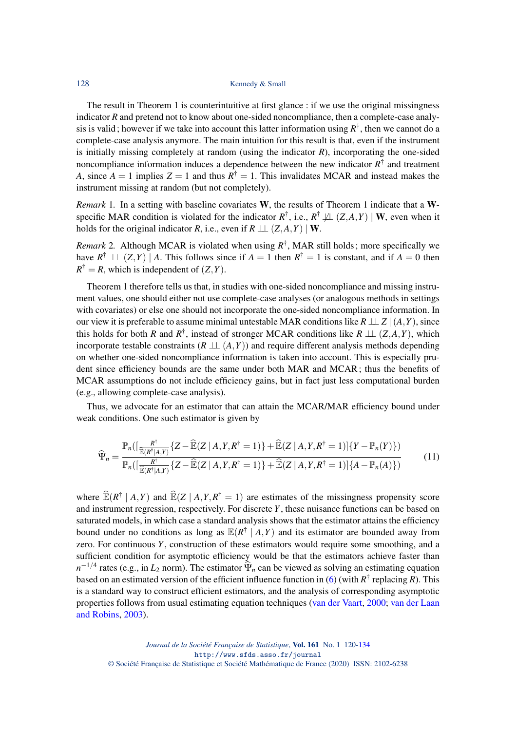The result in Theorem 1 is counterintuitive at first glance : if we use the original missingness indicator *R* and pretend not to know about one-sided noncompliance, then a complete-case analysis is valid; however if we take into account this latter information using  $R^{\dagger}$ , then we cannot do a complete-case analysis anymore. The main intuition for this result is that, even if the instrument is initially missing completely at random (using the indicator *R*), incorporating the one-sided noncompliance information induces a dependence between the new indicator  $R^{\dagger}$  and treatment *A*, since  $A = 1$  implies  $Z = 1$  and thus  $R^{\dagger} = 1$ . This invalidates MCAR and instead makes the instrument missing at random (but not completely).

*Remark* 1. In a setting with baseline covariates W, the results of Theorem 1 indicate that a Wspecific MAR condition is violated for the indicator  $R^{\dagger}$ , i.e.,  $R^{\dagger} \not\perp (Z, A, Y) \mid W$ , even when it holds for the original indicator *R*, i.e., even if  $R \perp (Z, A, Y) \mid W$ .

*Remark* 2*.* Although MCAR is violated when using *R* † , MAR still holds; more specifically we have  $R^{\dagger} \perp \perp (Z, Y) \mid A$ . This follows since if  $A = 1$  then  $R^{\dagger} = 1$  is constant, and if  $A = 0$  then  $R^{\dagger} = R$ , which is independent of  $(Z, Y)$ .

Theorem 1 therefore tells us that, in studies with one-sided noncompliance and missing instrument values, one should either not use complete-case analyses (or analogous methods in settings with covariates) or else one should not incorporate the one-sided noncompliance information. In our view it is preferable to assume minimal untestable MAR conditions like  $R \perp Z \mid (A, Y)$ , since this holds for both *R* and  $R^{\dagger}$ , instead of stronger MCAR conditions like  $R \perp\!\!\!\perp (Z, A, Y)$ , which incorporate testable constraints  $(R \perp (A, Y))$  and require different analysis methods depending on whether one-sided noncompliance information is taken into account. This is especially prudent since efficiency bounds are the same under both MAR and MCAR; thus the benefits of MCAR assumptions do not include efficiency gains, but in fact just less computational burden (e.g., allowing complete-case analysis).

Thus, we advocate for an estimator that can attain the MCAR/MAR efficiency bound under weak conditions. One such estimator is given by

$$
\widehat{\Psi}_n = \frac{\mathbb{P}_n\left(\left[\frac{R^\dagger}{\widehat{\mathbb{E}}(R^\dagger|A,Y)}\left\{Z - \widehat{\mathbb{E}}(Z \mid A,Y,R^\dagger=1)\right\} + \widehat{\mathbb{E}}(Z \mid A,Y,R^\dagger=1)\right]\left\{Y - \mathbb{P}_n(Y)\right\}\right)}{\mathbb{P}_n\left(\left[\frac{R^\dagger}{\widehat{\mathbb{E}}(R^\dagger|A,Y)}\left\{Z - \widehat{\mathbb{E}}(Z \mid A,Y,R^\dagger=1)\right\} + \widehat{\mathbb{E}}(Z \mid A,Y,R^\dagger=1)\right]\left\{A - \mathbb{P}_n(A)\right\}\right)}\tag{11}
$$

where  $\widehat{\mathbb{E}}(R^{\dagger} | A, Y)$  and  $\widehat{\mathbb{E}}(Z | A, Y, R^{\dagger} = 1)$  are estimates of the missingness propensity score and instrument regression, respectively. For discrete *Y*, these nuisance functions can be based on saturated models, in which case a standard analysis shows that the estimator attains the efficiency bound under no conditions as long as  $\mathbb{E}(R^{\dagger} \mid A, Y)$  and its estimator are bounded away from zero. For continuous *Y*, construction of these estimators would require some smoothing, and a sufficient condition for asymptotic efficiency would be that the estimators achieve faster than  $n^{-1/4}$  rates (e.g., in *L*<sub>2</sub> norm). The estimator  $\hat{\Psi}_n$  can be viewed as solving an estimating equation based on an estimated version of the efficient influence function in [\(6\)](#page-5-2) (with *R* † replacing *R*). This is a standard way to construct efficient estimators, and the analysis of corresponding asymptotic properties follows from usual estimating equation techniques [\(van der Vaart,](#page-13-3) [2000;](#page-13-3) [van der Laan](#page-12-16) [and Robins,](#page-12-16) [2003\)](#page-12-16).

*Journal de la Société Française de Statistique*, Vol. 161 No. 1 120[-134](#page-14-0) http://www.sfds.asso.fr/journal © Société Française de Statistique et Société Mathématique de France (2020) ISSN: 2102-6238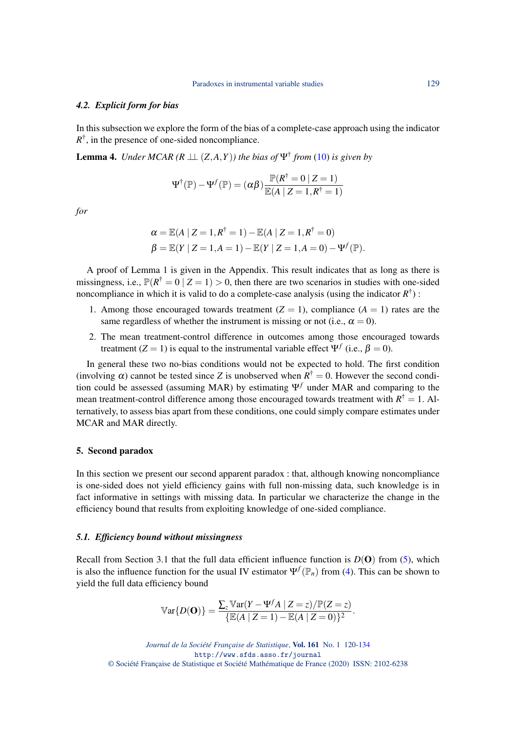#### *4.2. Explicit form for bias*

In this subsection we explore the form of the bias of a complete-case approach using the indicator  $R^{\dagger}$ , in the presence of one-sided noncompliance.

**Lemma 4.** *Under MCAR* ( $R \perp \!\!\!\perp (Z, A, Y)$ ) the bias of  $\Psi^{\dagger}$  from [\(10\)](#page-7-1) is given by

$$
\Psi^{\dagger}(\mathbb{P}) - \Psi^f(\mathbb{P}) = (\alpha \beta) \frac{\mathbb{P}(R^{\dagger} = 0 \mid Z = 1)}{\mathbb{E}(A \mid Z = 1, R^{\dagger} = 1)}
$$

*for*

$$
\alpha = \mathbb{E}(A | Z = 1, R^{\dagger} = 1) - \mathbb{E}(A | Z = 1, R^{\dagger} = 0)
$$
  

$$
\beta = \mathbb{E}(Y | Z = 1, A = 1) - \mathbb{E}(Y | Z = 1, A = 0) - \Psi^{f}(\mathbb{P}).
$$

A proof of Lemma 1 is given in the Appendix. This result indicates that as long as there is missingness, i.e.,  $\mathbb{P}(R^{\dagger} = 0 | Z = 1) > 0$ , then there are two scenarios in studies with one-sided noncompliance in which it is valid to do a complete-case analysis (using the indicator *R* † ) :

- 1. Among those encouraged towards treatment  $(Z = 1)$ , compliance  $(A = 1)$  rates are the same regardless of whether the instrument is missing or not (i.e.,  $\alpha = 0$ ).
- 2. The mean treatment-control difference in outcomes among those encouraged towards treatment  $(Z = 1)$  is equal to the instrumental variable effect  $\Psi^f$  (i.e.,  $\beta = 0$ ).

In general these two no-bias conditions would not be expected to hold. The first condition (involving  $\alpha$ ) cannot be tested since *Z* is unobserved when  $R^{\dagger} = 0$ . However the second condition could be assessed (assuming MAR) by estimating Ψ*<sup>f</sup>* under MAR and comparing to the mean treatment-control difference among those encouraged towards treatment with  $R^{\dagger} = 1$ . Alternatively, to assess bias apart from these conditions, one could simply compare estimates under MCAR and MAR directly.

#### 5. Second paradox

In this section we present our second apparent paradox : that, although knowing noncompliance is one-sided does not yield efficiency gains with full non-missing data, such knowledge is in fact informative in settings with missing data. In particular we characterize the change in the efficiency bound that results from exploiting knowledge of one-sided compliance.

#### *5.1. Efficiency bound without missingness*

Recall from Section 3.1 that the full data efficient influence function is  $D(\mathbf{O})$  from [\(5\)](#page-4-0), which is also the influence function for the usual IV estimator  $\Psi^f(\mathbb{P}_n)$  from [\(4\)](#page-4-1). This can be shown to yield the full data efficiency bound

$$
\mathbb{V}\text{ar}\{D(\mathbf{O})\} = \frac{\sum_{z} \mathbb{V}\text{ar}(Y - \Psi^f A \mid Z = z)/\mathbb{P}(Z = z)}{\{\mathbb{E}(A \mid Z = 1) - \mathbb{E}(A \mid Z = 0)\}^2}.
$$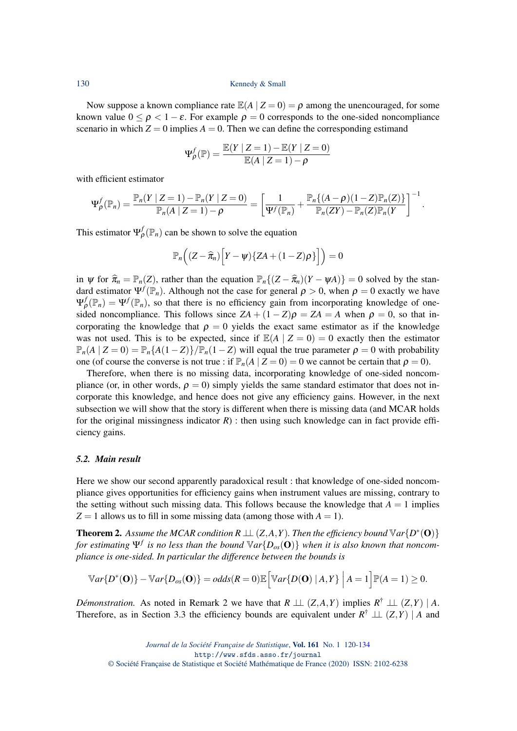Now suppose a known compliance rate  $\mathbb{E}(A | Z = 0) = \rho$  among the unencouraged, for some known value  $0 \le \rho < 1 - \varepsilon$ . For example  $\rho = 0$  corresponds to the one-sided noncompliance scenario in which  $Z = 0$  implies  $A = 0$ . Then we can define the corresponding estimand

$$
\Psi_{\rho}^{f}(\mathbb{P}) = \frac{\mathbb{E}(Y \mid Z=1) - \mathbb{E}(Y \mid Z=0)}{\mathbb{E}(A \mid Z=1) - \rho}
$$

with efficient estimator

$$
\Psi_{\rho}^{f}(\mathbb{P}_{n})=\frac{\mathbb{P}_{n}(Y | Z=1)-\mathbb{P}_{n}(Y | Z=0)}{\mathbb{P}_{n}(A | Z=1)-\rho}=\left[\frac{1}{\Psi^{f}(\mathbb{P}_{n})}+\frac{\mathbb{P}_{n}\{(A-\rho)(1-Z)\mathbb{P}_{n}(Z)\}}{\mathbb{P}_{n}(ZY)-\mathbb{P}_{n}(Z)\mathbb{P}_{n}(Y)}\right]^{-1}.
$$

This estimator  $\Psi_{\rho}^{f}(\mathbb{P}_n)$  can be shown to solve the equation

$$
\mathbb{P}_n\Big((Z-\widehat{\pi}_n)\Big[Y-\psi\big)\{ZA+(1-Z)\rho\}\Big]\Big)=0
$$

in  $\psi$  for  $\hat{\pi}_n = \mathbb{P}_n(Z)$ , rather than the equation  $\mathbb{P}_n\{(Z - \hat{\pi}_n)(Y - \psi A)\} = 0$  solved by the standard estimator  $\Psi^f(\mathbb{P}_n)$ . Although not the case for general  $\rho > 0$ , when  $\rho = 0$  exactly we have  $\Psi_{\rho}^{f}(\mathbb{P}_{n}) = \Psi^{f}(\mathbb{P}_{n})$ , so that there is no efficiency gain from incorporating knowledge of onesided noncompliance. This follows since  $ZA + (1 - Z)\rho = ZA = A$  when  $\rho = 0$ , so that incorporating the knowledge that  $\rho = 0$  yields the exact same estimator as if the knowledge was not used. This is to be expected, since if  $\mathbb{E}(A | Z = 0) = 0$  exactly then the estimator  $\mathbb{P}_n(A \mid Z = 0) = \mathbb{P}_n\{A(1 - Z)\}\mathbb{P}_n(1 - Z)$  will equal the true parameter  $\rho = 0$  with probability one (of course the converse is not true : if  $\mathbb{P}_n(A \mid Z = 0) = 0$  we cannot be certain that  $\rho = 0$ ).

Therefore, when there is no missing data, incorporating knowledge of one-sided noncompliance (or, in other words,  $\rho = 0$ ) simply yields the same standard estimator that does not incorporate this knowledge, and hence does not give any efficiency gains. However, in the next subsection we will show that the story is different when there is missing data (and MCAR holds for the original missingness indicator  $R$ ) : then using such knowledge can in fact provide efficiency gains.

#### *5.2. Main result*

Here we show our second apparently paradoxical result : that knowledge of one-sided noncompliance gives opportunities for efficiency gains when instrument values are missing, contrary to the setting without such missing data. This follows because the knowledge that  $A = 1$  implies  $Z = 1$  allows us to fill in some missing data (among those with  $A = 1$ ).

**Theorem 2.** Assume the MCAR condition  $R \perp\!\!\!\perp (Z, A, Y)$ . Then the efficiency bound  $\mathbb{V}$ ar $\{D^*(\mathbf{O})\}$ *for estimating* Ψ*<sup>f</sup> is no less than the bound* V*ar*{*Dos*(O)} *when it is also known that noncompliance is one-sided. In particular the difference between the bounds is*

$$
\mathbb{V}ar\{D^*(\mathbf{O})\}-\mathbb{V}ar\{D_{os}(\mathbf{O})\}=odds(R=0)\mathbb{E}\Big[\mathbb{V}ar\{D(\mathbf{O})\mid A,Y\}\Big|A=1\Big]\mathbb{P}(A=1)\geq 0.
$$

*Démonstration.* As noted in Remark 2 we have that  $R \perp\!\!\!\perp (Z, A, Y)$  implies  $R^{\dagger} \perp\!\!\!\perp (Z, Y) | A$ . Therefore, as in Section 3.3 the efficiency bounds are equivalent under  $R^{\dagger} \perp (Z, Y)$  | *A* and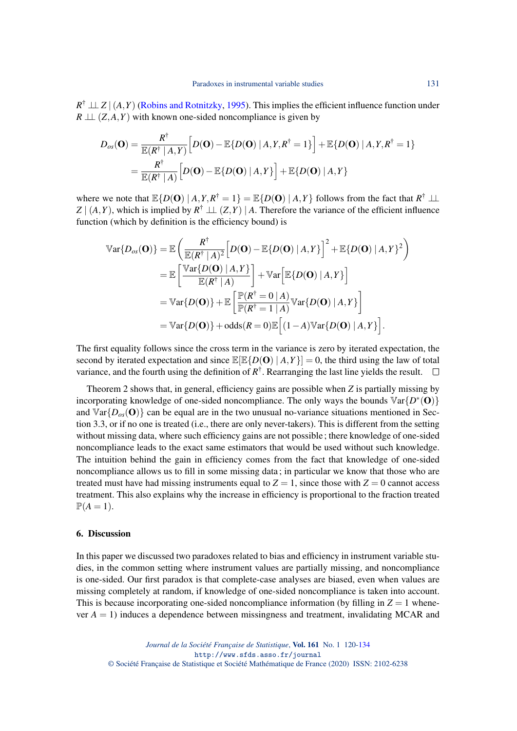$R^{\dagger} \perp \!\!\! \perp Z \mid (A, Y)$  [\(Robins and Rotnitzky,](#page-12-18) [1995\)](#page-12-18). This implies the efficient influence function under  $R \perp\!\!\!\perp (Z, A, Y)$  with known one-sided noncompliance is given by

$$
D_{os}(\mathbf{O}) = \frac{R^{\dagger}}{\mathbb{E}(R^{\dagger} | A, Y)} \Big[ D(\mathbf{O}) - \mathbb{E}\{D(\mathbf{O}) | A, Y, R^{\dagger} = 1\} \Big] + \mathbb{E}\{D(\mathbf{O}) | A, Y, R^{\dagger} = 1\}
$$
  
= 
$$
\frac{R^{\dagger}}{\mathbb{E}(R^{\dagger} | A)} \Big[D(\mathbf{O}) - \mathbb{E}\{D(\mathbf{O}) | A, Y\} \Big] + \mathbb{E}\{D(\mathbf{O}) | A, Y\}
$$

where we note that  $\mathbb{E}{D(\mathbf{O}) | A, Y, R^{\dagger} = 1} = \mathbb{E}{D(\mathbf{O}) | A, Y}$  follows from the fact that  $R^{\dagger} \perp \perp$  $Z \mid (A, Y)$ , which is implied by  $R^{\dagger} \perp (Z, Y) \mid A$ . Therefore the variance of the efficient influence function (which by definition is the efficiency bound) is

$$
\begin{split} \mathbb{V}\text{ar}\{D_{os}(\mathbf{O})\} &= \mathbb{E}\left(\frac{R^{\dagger}}{\mathbb{E}(R^{\dagger} \mid A)^{2}}\left[D(\mathbf{O}) - \mathbb{E}\{D(\mathbf{O}) \mid A, Y\}\right]^{2} + \mathbb{E}\{D(\mathbf{O}) \mid A, Y\}^{2}\right) \\ &= \mathbb{E}\left[\frac{\mathbb{V}\text{ar}\{D(\mathbf{O}) \mid A, Y\}}{\mathbb{E}(R^{\dagger} \mid A)}\right] + \mathbb{V}\text{ar}\left[\mathbb{E}\{D(\mathbf{O}) \mid A, Y\}\right] \\ &= \mathbb{V}\text{ar}\{D(\mathbf{O})\} + \mathbb{E}\left[\frac{\mathbb{P}(R^{\dagger} = 0 \mid A)}{\mathbb{P}(R^{\dagger} = 1 \mid A)} \mathbb{V}\text{ar}\{D(\mathbf{O}) \mid A, Y\}\right] \\ &= \mathbb{V}\text{ar}\{D(\mathbf{O})\} + \text{odds}(R = 0)\mathbb{E}\left[(1 - A)\mathbb{V}\text{ar}\{D(\mathbf{O}) \mid A, Y\}\right]. \end{split}
$$

The first equality follows since the cross term in the variance is zero by iterated expectation, the second by iterated expectation and since  $\mathbb{E}[\mathbb{E}\{D(\mathbf{O}) | A, Y\}] = 0$ , the third using the law of total variance, and the fourth using the definition of  $R^{\dagger}$ . Rearranging the last line yields the result.

Theorem 2 shows that, in general, efficiency gains are possible when *Z* is partially missing by incorporating knowledge of one-sided noncompliance. The only ways the bounds  $Var\{D^*(O)\}$ and  $Var\{D_{\rho s}(\mathbf{O})\}$  can be equal are in the two unusual no-variance situations mentioned in Section 3.3, or if no one is treated (i.e., there are only never-takers). This is different from the setting without missing data, where such efficiency gains are not possible; there knowledge of one-sided noncompliance leads to the exact same estimators that would be used without such knowledge. The intuition behind the gain in efficiency comes from the fact that knowledge of one-sided noncompliance allows us to fill in some missing data; in particular we know that those who are treated must have had missing instruments equal to  $Z = 1$ , since those with  $Z = 0$  cannot access treatment. This also explains why the increase in efficiency is proportional to the fraction treated  $\mathbb{P}(A=1)$ .

#### 6. Discussion

In this paper we discussed two paradoxes related to bias and efficiency in instrument variable studies, in the common setting where instrument values are partially missing, and noncompliance is one-sided. Our first paradox is that complete-case analyses are biased, even when values are missing completely at random, if knowledge of one-sided noncompliance is taken into account. This is because incorporating one-sided noncompliance information (by filling in  $Z = 1$  whenever  $A = 1$ ) induces a dependence between missingness and treatment, invalidating MCAR and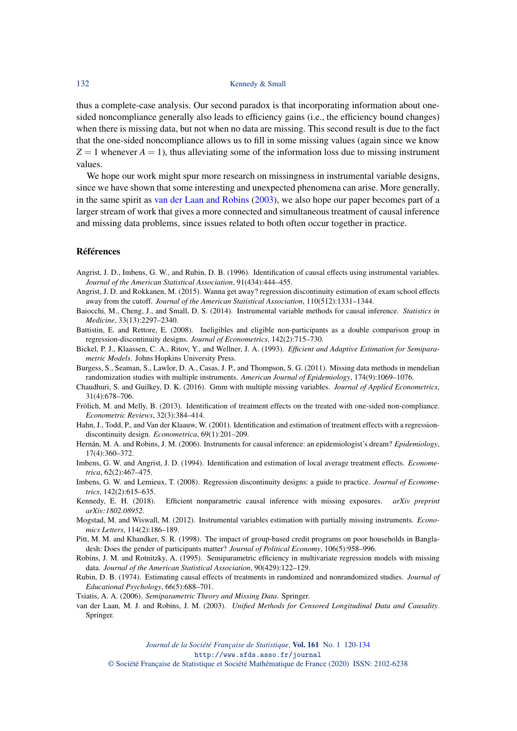thus a complete-case analysis. Our second paradox is that incorporating information about onesided noncompliance generally also leads to efficiency gains (i.e., the efficiency bound changes) when there is missing data, but not when no data are missing. This second result is due to the fact that the one-sided noncompliance allows us to fill in some missing values (again since we know  $Z = 1$  whenever  $A = 1$ ), thus alleviating some of the information loss due to missing instrument values.

We hope our work might spur more research on missingness in instrumental variable designs, since we have shown that some interesting and unexpected phenomena can arise. More generally, in the same spirit as [van der Laan and Robins](#page-12-16) [\(2003\)](#page-12-16), we also hope our paper becomes part of a larger stream of work that gives a more connected and simultaneous treatment of causal inference and missing data problems, since issues related to both often occur together in practice.

#### Références

- <span id="page-12-0"></span>Angrist, J. D., Imbens, G. W., and Rubin, D. B. (1996). Identification of causal effects using instrumental variables. *Journal of the American Statistical Association*, 91(434):444–455.
- <span id="page-12-12"></span>Angrist, J. D. and Rokkanen, M. (2015). Wanna get away? regression discontinuity estimation of exam school effects away from the cutoff. *Journal of the American Statistical Association*, 110(512):1331–1344.
- <span id="page-12-2"></span>Baiocchi, M., Cheng, J., and Small, D. S. (2014). Instrumental variable methods for causal inference. *Statistics in Medicine*, 33(13):2297–2340.
- <span id="page-12-11"></span>Battistin, E. and Rettore, E. (2008). Ineligibles and eligible non-participants as a double comparison group in regression-discontinuity designs. *Journal of Econometrics*, 142(2):715–730.
- <span id="page-12-15"></span>Bickel, P. J., Klaassen, C. A., Ritov, Y., and Wellner, J. A. (1993). *Efficient and Adaptive Estimation for Semiparametric Models*. Johns Hopkins University Press.
- <span id="page-12-3"></span>Burgess, S., Seaman, S., Lawlor, D. A., Casas, J. P., and Thompson, S. G. (2011). Missing data methods in mendelian randomization studies with multiple instruments. *American Journal of Epidemiology*, 174(9):1069–1076.
- <span id="page-12-5"></span>Chaudhuri, S. and Guilkey, D. K. (2016). Gmm with multiple missing variables. *Journal of Applied Econometrics*, 31(4):678–706.
- <span id="page-12-7"></span>Frölich, M. and Melly, B. (2013). Identification of treatment effects on the treated with one-sided non-compliance. *Econometric Reviews*, 32(3):384–414.
- <span id="page-12-8"></span>Hahn, J., Todd, P., and Van der Klaauw, W. (2001). Identification and estimation of treatment effects with a regressiondiscontinuity design. *Econometrica*, 69(1):201–209.
- <span id="page-12-1"></span>Hernán, M. A. and Robins, J. M. (2006). Instruments for causal inference: an epidemiologist's dream? *Epidemiology*, 17(4):360–372.
- <span id="page-12-14"></span>Imbens, G. W. and Angrist, J. D. (1994). Identification and estimation of local average treatment effects. *Econometrica*, 62(2):467–475.
- <span id="page-12-9"></span>Imbens, G. W. and Lemieux, T. (2008). Regression discontinuity designs: a guide to practice. *Journal of Econometrics*, 142(2):615–635.
- <span id="page-12-6"></span>Kennedy, E. H. (2018). Efficient nonparametric causal inference with missing exposures. *arXiv preprint arXiv:1802.08952*.
- <span id="page-12-4"></span>Mogstad, M. and Wiswall, M. (2012). Instrumental variables estimation with partially missing instruments. *Economics Letters*, 114(2):186–189.
- <span id="page-12-10"></span>Pitt, M. M. and Khandker, S. R. (1998). The impact of group-based credit programs on poor households in Bangladesh: Does the gender of participants matter? *Journal of Political Economy*, 106(5):958–996.
- <span id="page-12-18"></span>Robins, J. M. and Rotnitzky, A. (1995). Semiparametric efficiency in multivariate regression models with missing data. *Journal of the American Statistical Association*, 90(429):122–129.
- <span id="page-12-13"></span>Rubin, D. B. (1974). Estimating causal effects of treatments in randomized and nonrandomized studies. *Journal of Educational Psychology*, 66(5):688–701.
- <span id="page-12-17"></span>Tsiatis, A. A. (2006). *Semiparametric Theory and Missing Data*. Springer.
- <span id="page-12-16"></span>van der Laan, M. J. and Robins, J. M. (2003). *Unified Methods for Censored Longitudinal Data and Causality*. Springer.

*Journal de la Société Française de Statistique*, Vol. 161 No. 1 120[-134](#page-14-0) http://www.sfds.asso.fr/journal

© Société Française de Statistique et Société Mathématique de France (2020) ISSN: 2102-6238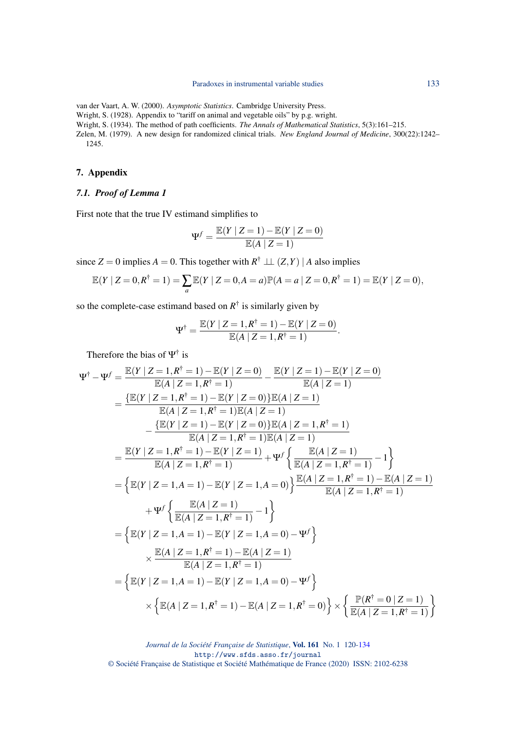<span id="page-13-3"></span>van der Vaart, A. W. (2000). *Asymptotic Statistics*. Cambridge University Press.

<span id="page-13-0"></span>Wright, S. (1928). Appendix to "tariff on animal and vegetable oils" by p.g. wright.

<span id="page-13-1"></span>Wright, S. (1934). The method of path coefficients. *The Annals of Mathematical Statistics*, 5(3):161–215.

<span id="page-13-2"></span>Zelen, M. (1979). A new design for randomized clinical trials. *New England Journal of Medicine*, 300(22):1242– 1245.

## 7. Appendix

# *7.1. Proof of Lemma 1*

First note that the true IV estimand simplifies to

$$
\Psi^f = \frac{\mathbb{E}(Y \mid Z=1) - \mathbb{E}(Y \mid Z=0)}{\mathbb{E}(A \mid Z=1)}
$$

since  $Z = 0$  implies  $A = 0$ . This together with  $R^{\dagger} \perp (Z, Y) | A$  also implies

$$
\mathbb{E}(Y | Z = 0, R^{\dagger} = 1) = \sum_{a} \mathbb{E}(Y | Z = 0, A = a) \mathbb{P}(A = a | Z = 0, R^{\dagger} = 1) = \mathbb{E}(Y | Z = 0),
$$

so the complete-case estimand based on  $R^{\dagger}$  is similarly given by

$$
\Psi^{\dagger} = \frac{\mathbb{E}(Y \mid Z = 1, R^{\dagger} = 1) - \mathbb{E}(Y \mid Z = 0)}{\mathbb{E}(A \mid Z = 1, R^{\dagger} = 1)}.
$$

Therefore the bias of  $\Psi^{\dagger}$  is

$$
\Psi^{\dagger} - \Psi^{f} = \frac{\mathbb{E}(Y \mid Z = 1, R^{\dagger} = 1) - \mathbb{E}(Y \mid Z = 0)}{\mathbb{E}(A \mid Z = 1, R^{\dagger} = 1)} - \frac{\mathbb{E}(Y \mid Z = 1) - \mathbb{E}(Y \mid Z = 0)}{\mathbb{E}(A \mid Z = 1)}
$$
\n
$$
= \frac{\{\mathbb{E}(Y \mid Z = 1, R^{\dagger} = 1) - \mathbb{E}(Y \mid Z = 0)\}\mathbb{E}(A \mid Z = 1)}{\mathbb{E}(A \mid Z = 1, R^{\dagger} = 1)\}\mathbb{E}(A \mid Z = 1)}
$$
\n
$$
- \frac{\{\mathbb{E}(Y \mid Z = 1, R^{\dagger} = 1)\}\mathbb{E}(Y \mid Z = 0)\}\mathbb{E}(A \mid Z = 1, R^{\dagger} = 1)}{\mathbb{E}(A \mid Z = 1, R^{\dagger} = 1)\}\mathbb{E}(A \mid Z = 1)}
$$
\n
$$
= \frac{\mathbb{E}(Y \mid Z = 1, R^{\dagger} = 1) - \mathbb{E}(Y \mid Z = 1)}{\mathbb{E}(A \mid Z = 1, R^{\dagger} = 1)} + \Psi^{f}\left\{\frac{\mathbb{E}(A \mid Z = 1, R^{\dagger} = 1)}{\mathbb{E}(A \mid Z = 1, R^{\dagger} = 1)} - 1\right\}}{\mathbb{E}(A \mid Z = 1, R^{\dagger} = 1)} + \Psi^{f}\left\{\frac{\mathbb{E}(A \mid Z = 1)}{\mathbb{E}(A \mid Z = 1, R^{\dagger} = 1)} - 1\right\}
$$
\n
$$
+ \Psi^{f}\left\{\frac{\mathbb{E}(A \mid Z = 1)}{\mathbb{E}(A \mid Z = 1, R^{\dagger} = 1)} - 1\right\}
$$
\n
$$
\times \frac{\mathbb{E}(A \mid Z = 1, R^{\dagger} = 1) - \mathbb{E}(Y \mid Z = 1, A = 0) - \Psi^{f}\right\}}{\mathbb{E}(A \mid Z = 1, R^{\dagger} = 1)} = \left\{\mathbb{E}(Y \mid Z = 1, A = 1) - \mathbb{E}(Y \mid Z = 1, A = 0) - \Psi
$$

*Journal de la Société Française de Statistique*, Vol. 161 No. 1 120[-134](#page-14-0) http://www.sfds.asso.fr/journal © Société Française de Statistique et Société Mathématique de France (2020) ISSN: 2102-6238